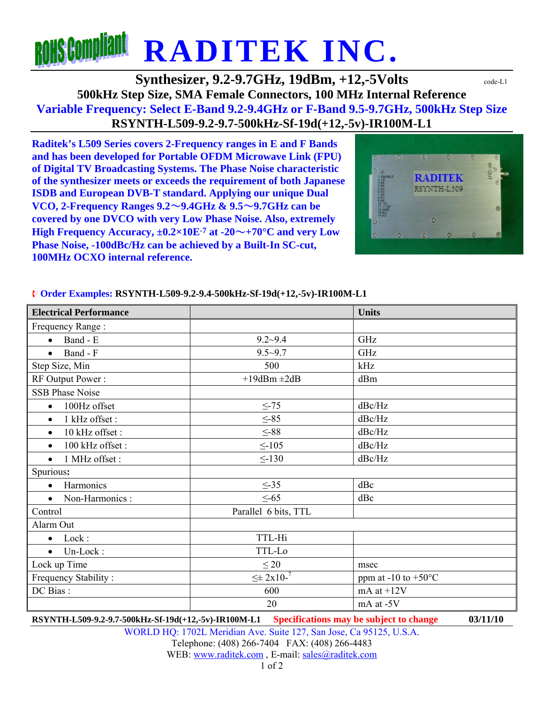# **ROHS Compliant RADITEK INC.**

**Synthesizer, 9.2-9.7GHz, 19dBm, +12,-5Volts**  $\text{code-L1}$ **500kHz Step Size, SMA Female Connectors, 100 MHz Internal Reference Variable Frequency: Select E-Band 9.2-9.4GHz or F-Band 9.5-9.7GHz, 500kHz Step Size RSYNTH-L509-9.2-9.7-500kHz-Sf-19d(+12,-5v)-IR100M-L1** 

**Raditek's L509 Series covers 2-Frequency ranges in E and F Bands and has been developed for Portable OFDM Microwave Link (FPU) of Digital TV Broadcasting Systems. The Phase Noise characteristic of the synthesizer meets or exceeds the requirement of both Japanese ISDB and European DVB-T standard. Applying our unique Dual VCO, 2-Frequency Ranges 9.2**~**9.4GHz & 9.5**~**9.7GHz can be covered by one DVCO with very Low Phase Noise. Also, extremely High Frequency Accuracy, ±0.2×10E-7 at -20**~**+70°C and very Low Phase Noise, -100dBc/Hz can be achieved by a Built-In SC-cut, 100MHz OCXO internal reference.** 



#### **Order Examples: RSYNTH-L509-9.2-9.4-500kHz-Sf-19d(+12,-5v)-IR100M-L1**

| <b>Electrical Performance</b> |                      | <b>Units</b>                  |
|-------------------------------|----------------------|-------------------------------|
| Frequency Range:              |                      |                               |
| Band - E<br>$\bullet$         | $9.2 - 9.4$          | GHz                           |
| Band - F<br>$\bullet$         | $9.5 - 9.7$          | GHz                           |
| Step Size, Min                | 500                  | kHz                           |
| RF Output Power:              | $+19$ dBm $\pm 2$ dB | dBm                           |
| <b>SSB Phase Noise</b>        |                      |                               |
| 100Hz offset<br>$\bullet$     | $\leq$ -75           | dBc/Hz                        |
| 1 kHz offset:<br>$\bullet$    | $\leq -85$           | dBc/Hz                        |
| 10 kHz offset:<br>$\bullet$   | $\leq$ -88           | dBc/Hz                        |
| 100 kHz offset:<br>$\bullet$  | $\leq$ -105          | dBc/Hz                        |
| 1 MHz offset :<br>$\bullet$   | $\leq$ -130          | dBc/Hz                        |
| Spurious:                     |                      |                               |
| Harmonics<br>$\bullet$        | $\leq -35$           | dBc                           |
| Non-Harmonics :<br>$\bullet$  | $\leq -65$           | dBc                           |
| Control                       | Parallel 6 bits, TTL |                               |
| Alarm Out                     |                      |                               |
| Lock:<br>$\bullet$            | TTL-Hi               |                               |
| $\bullet$ Un-Lock:            | TTL-Lo               |                               |
| Lock up Time                  | $\leq 20$            | msec                          |
| Frequency Stability:          | $\leq \pm 2x10^{-7}$ | ppm at -10 to $+50^{\circ}$ C |
| DC Bias:                      | 600                  | mA at $+12V$                  |
|                               | 20                   | mA at -5V                     |

**RSYNTH-L509-9.2-9.7-500kHz-Sf-19d(+12,-5v)-IR100M-L1 Specifications may be subject to change 03/11/10**

WORLD HQ: 1702L Meridian Ave. Suite 127, San Jose, Ca 95125, U.S.A. Telephone: (408) 266-7404 FAX: (408) 266-4483 WEB: www.raditek.com, E-mail: sales@raditek.com